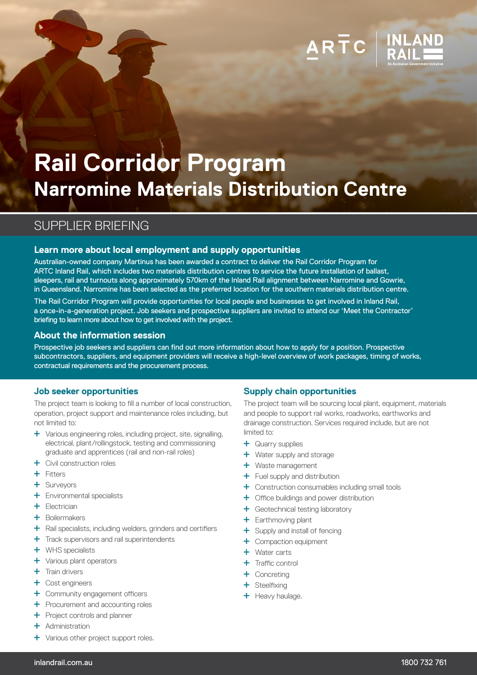# **Rail Corridor Program Narromine Materials Distribution Centre**

# SUPPLIER BRIEFING

# **Learn more about local employment and supply opportunities**

Australian-owned company Martinus has been awarded a contract to deliver the Rail Corridor Program for ARTC Inland Rail, which includes two materials distribution centres to service the future installation of ballast, sleepers, rail and turnouts along approximately 570km of the Inland Rail alignment between Narromine and Gowrie, in Queensland. Narromine has been selected as the preferred location for the southern materials distribution centre.

The Rail Corridor Program will provide opportunities for local people and businesses to get involved in Inland Rail, a once-in-a-generation project. Job seekers and prospective suppliers are invited to attend our 'Meet the Contractor' briefing to learn more about how to get involved with the project.

## **About the information session**

Prospective job seekers and suppliers can find out more information about how to apply for a position. Prospective subcontractors, suppliers, and equipment providers will receive a high-level overview of work packages, timing of works, contractual requirements and the procurement process.

#### **Job seeker opportunities**

The project team is looking to fill a number of local construction, operation, project support and maintenance roles including, but not limited to:

- Various engineering roles, including project, site, signalling, electrical, plant/rollingstock, testing and commissioning graduate and apprentices (rail and non-rail roles)
- Civil construction roles
- $+$  Fitters
- Surveyors
- Environmental specialists
- $F$  Electrician
- + Boilermakers
- $+$  Rail specialists, including welders, grinders and certifiers
- + Track supervisors and rail superintendents
- WHS specialists
- Various plant operators
- $+$  Train drivers
- Cost engineers
- Community engagement officers
- + Procurement and accounting roles
- **+** Project controls and planner
- + Administration
- **+** Various other project support roles.

# **Supply chain opportunities**

The project team will be sourcing local plant, equipment, materials and people to support rail works, roadworks, earthworks and drainage construction. Services required include, but are not limited to:

ARTC

- **+** Quarry supplies
- **+** Water supply and storage
- + Waste management
- $+$  Fuel supply and distribution
- Construction consumables including small tools
- Office buildings and power distribution
- Geotechnical testing laboratory
- + Earthmoving plant
- + Supply and install of fencing
- Compaction equipment
- Water carts
- $+$  Traffic control
- + Concreting
- Steelfixing
- $+$  Heavy haulage.